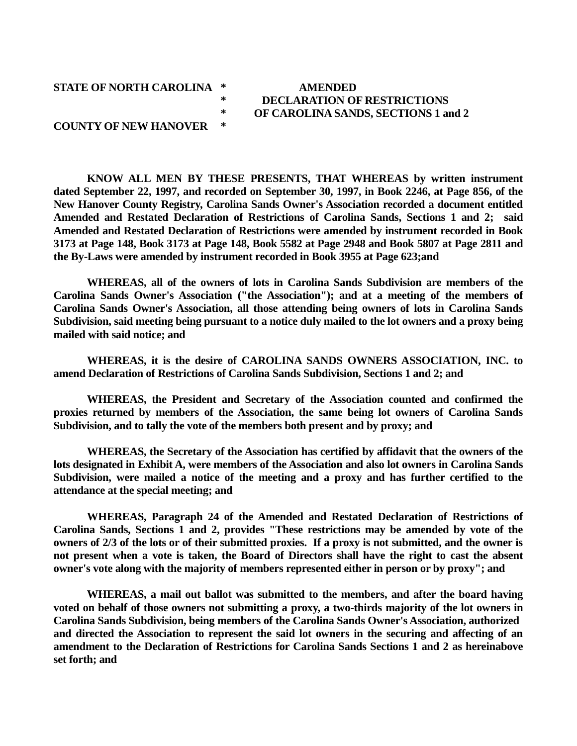## **STATE OF NORTH CAROLINA \* AMENDED COUNTY OF NEW HANOVER \***

## **\* DECLARATION OF RESTRICTIONS \* OF CAROLINA SANDS, SECTIONS 1 and 2**

**KNOW ALL MEN BY THESE PRESENTS, THAT WHEREAS by written instrument dated September 22, 1997, and recorded on September 30, 1997, in Book 2246, at Page 856, of the New Hanover County Registry, Carolina Sands Owner's Association recorded a document entitled Amended and Restated Declaration of Restrictions of Carolina Sands, Sections 1 and 2; said Amended and Restated Declaration of Restrictions were amended by instrument recorded in Book 3173 at Page 148, Book 3173 at Page 148, Book 5582 at Page 2948 and Book 5807 at Page 2811 and the By-Laws were amended by instrument recorded in Book 3955 at Page 623;and**

**WHEREAS, all of the owners of lots in Carolina Sands Subdivision are members of the Carolina Sands Owner's Association ("the Association"); and at a meeting of the members of Carolina Sands Owner's Association, all those attending being owners of lots in Carolina Sands Subdivision, said meeting being pursuant to a notice duly mailed to the lot owners and a proxy being mailed with said notice; and**

**WHEREAS, it is the desire of CAROLINA SANDS OWNERS ASSOCIATION, INC. to amend Declaration of Restrictions of Carolina Sands Subdivision, Sections 1 and 2; and**

**WHEREAS, the President and Secretary of the Association counted and confirmed the proxies returned by members of the Association, the same being lot owners of Carolina Sands Subdivision, and to tally the vote of the members both present and by proxy; and**

**WHEREAS, the Secretary of the Association has certified by affidavit that the owners of the lots designated in Exhibit A, were members of the Association and also lot owners in Carolina Sands Subdivision, were mailed a notice of the meeting and a proxy and has further certified to the attendance at the special meeting; and**

**WHEREAS, Paragraph 24 of the Amended and Restated Declaration of Restrictions of Carolina Sands, Sections 1 and 2, provides "These restrictions may be amended by vote of the owners of 2/3 of the lots or of their submitted proxies. If a proxy is not submitted, and the owner is not present when a vote is taken, the Board of Directors shall have the right to cast the absent owner's vote along with the majority of members represented either in person or by proxy"; and**

**WHEREAS, a mail out ballot was submitted to the members, and after the board having voted on behalf of those owners not submitting a proxy, a two-thirds majority of the lot owners in Carolina Sands Subdivision, being members of the Carolina Sands Owner's Association, authorized and directed the Association to represent the said lot owners in the securing and affecting of an amendment to the Declaration of Restrictions for Carolina Sands Sections 1 and 2 as hereinabove set forth; and**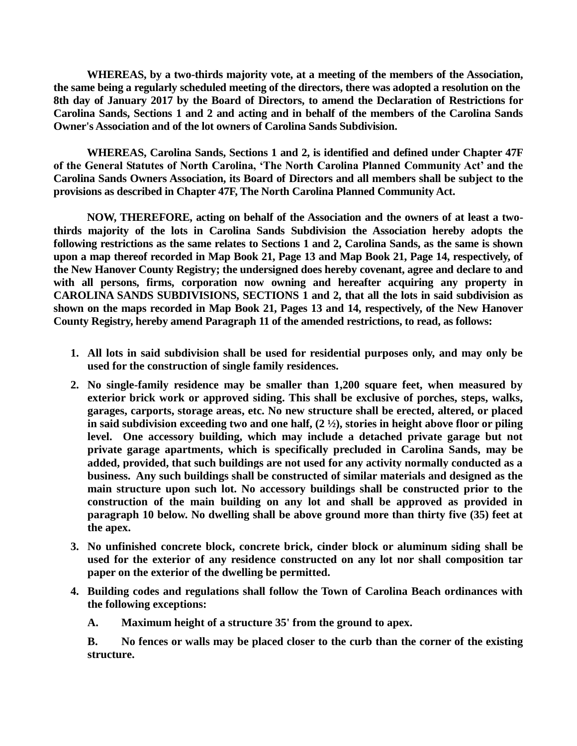**WHEREAS, by a two-thirds majority vote, at a meeting of the members of the Association, the same being a regularly scheduled meeting of the directors, there was adopted a resolution on the 8th day of January 2017 by the Board of Directors, to amend the Declaration of Restrictions for Carolina Sands, Sections 1 and 2 and acting and in behalf of the members of the Carolina Sands Owner's Association and of the lot owners of Carolina Sands Subdivision.**

**WHEREAS, Carolina Sands, Sections 1 and 2, is identified and defined under Chapter 47F of the General Statutes of North Carolina, 'The North Carolina Planned Community Act' and the Carolina Sands Owners Association, its Board of Directors and all members shall be subject to the provisions as described in Chapter 47F, The North Carolina Planned Community Act.**

**NOW, THEREFORE, acting on behalf of the Association and the owners of at least a twothirds majority of the lots in Carolina Sands Subdivision the Association hereby adopts the following restrictions as the same relates to Sections 1 and 2, Carolina Sands, as the same is shown upon a map thereof recorded in Map Book 21, Page 13 and Map Book 21, Page 14, respectively, of the New Hanover County Registry; the undersigned does hereby covenant, agree and declare to and with all persons, firms, corporation now owning and hereafter acquiring any property in CAROLINA SANDS SUBDIVISIONS, SECTIONS 1 and 2, that all the lots in said subdivision as shown on the maps recorded in Map Book 21, Pages 13 and 14, respectively, of the New Hanover County Registry, hereby amend Paragraph 11 of the amended restrictions, to read, as follows:**

- **1. All lots in said subdivision shall be used for residential purposes only, and may only be used for the construction of single family residences.**
- **2. No single-family residence may be smaller than 1,200 square feet, when measured by exterior brick work or approved siding. This shall be exclusive of porches, steps, walks, garages, carports, storage areas, etc. No new structure shall be erected, altered, or placed in said subdivision exceeding two and one half, (2 ½), stories in height above floor or piling level. One accessory building, which may include a detached private garage but not private garage apartments, which is specifically precluded in Carolina Sands, may be added, provided, that such buildings are not used for any activity normally conducted as a business. Any such buildings shall be constructed of similar materials and designed as the main structure upon such lot. No accessory buildings shall be constructed prior to the construction of the main building on any lot and shall be approved as provided in paragraph 10 below. No dwelling shall be above ground more than thirty five (35) feet at the apex.**
- **3. No unfinished concrete block, concrete brick, cinder block or aluminum siding shall be used for the exterior of any residence constructed on any lot nor shall composition tar paper on the exterior of the dwelling be permitted.**
- **4. Building codes and regulations shall follow the Town of Carolina Beach ordinances with the following exceptions:**

**A. Maximum height of a structure 35' from the ground to apex.**

**B. No fences or walls may be placed closer to the curb than the corner of the existing structure.**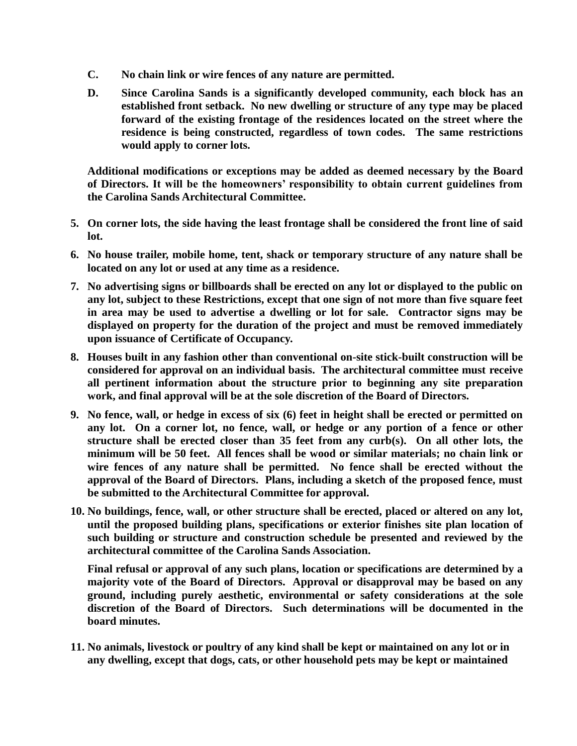- **C. No chain link or wire fences of any nature are permitted.**
- **D. Since Carolina Sands is a significantly developed community, each block has an established front setback. No new dwelling or structure of any type may be placed forward of the existing frontage of the residences located on the street where the residence is being constructed, regardless of town codes. The same restrictions would apply to corner lots.**

**Additional modifications or exceptions may be added as deemed necessary by the Board of Directors. It will be the homeowners' responsibility to obtain current guidelines from the Carolina Sands Architectural Committee.**

- **5. On corner lots, the side having the least frontage shall be considered the front line of said lot.**
- **6. No house trailer, mobile home, tent, shack or temporary structure of any nature shall be located on any lot or used at any time as a residence.**
- **7. No advertising signs or billboards shall be erected on any lot or displayed to the public on any lot, subject to these Restrictions, except that one sign of not more than five square feet in area may be used to advertise a dwelling or lot for sale. Contractor signs may be displayed on property for the duration of the project and must be removed immediately upon issuance of Certificate of Occupancy.**
- **8. Houses built in any fashion other than conventional on-site stick-built construction will be considered for approval on an individual basis. The architectural committee must receive all pertinent information about the structure prior to beginning any site preparation work, and final approval will be at the sole discretion of the Board of Directors.**
- **9. No fence, wall, or hedge in excess of six (6) feet in height shall be erected or permitted on any lot. On a corner lot, no fence, wall, or hedge or any portion of a fence or other structure shall be erected closer than 35 feet from any curb(s). On all other lots, the minimum will be 50 feet. All fences shall be wood or similar materials; no chain link or wire fences of any nature shall be permitted. No fence shall be erected without the approval of the Board of Directors. Plans, including a sketch of the proposed fence, must be submitted to the Architectural Committee for approval.**
- **10. No buildings, fence, wall, or other structure shall be erected, placed or altered on any lot, until the proposed building plans, specifications or exterior finishes site plan location of such building or structure and construction schedule be presented and reviewed by the architectural committee of the Carolina Sands Association.**

**Final refusal or approval of any such plans, location or specifications are determined by a majority vote of the Board of Directors. Approval or disapproval may be based on any ground, including purely aesthetic, environmental or safety considerations at the sole discretion of the Board of Directors. Such determinations will be documented in the board minutes.** 

**11. No animals, livestock or poultry of any kind shall be kept or maintained on any lot or in any dwelling, except that dogs, cats, or other household pets may be kept or maintained**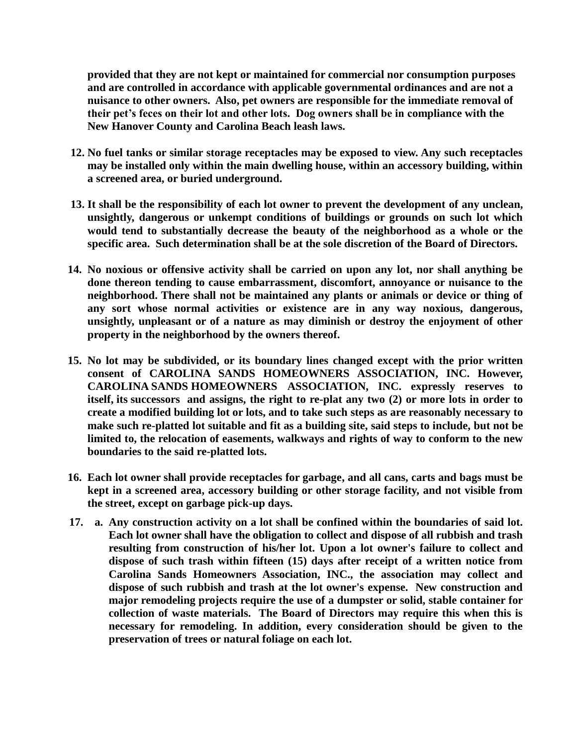**provided that they are not kept or maintained for commercial nor consumption purposes and are controlled in accordance with applicable governmental ordinances and are not a nuisance to other owners. Also, pet owners are responsible for the immediate removal of their pet's feces on their lot and other lots. Dog owners shall be in compliance with the New Hanover County and Carolina Beach leash laws.**

- **12. No fuel tanks or similar storage receptacles may be exposed to view. Any such receptacles may be installed only within the main dwelling house, within an accessory building, within a screened area, or buried underground.**
- **13. It shall be the responsibility of each lot owner to prevent the development of any unclean, unsightly, dangerous or unkempt conditions of buildings or grounds on such lot which would tend to substantially decrease the beauty of the neighborhood as a whole or the specific area. Such determination shall be at the sole discretion of the Board of Directors.**
- **14. No noxious or offensive activity shall be carried on upon any lot, nor shall anything be done thereon tending to cause embarrassment, discomfort, annoyance or nuisance to the neighborhood. There shall not be maintained any plants or animals or device or thing of any sort whose normal activities or existence are in any way noxious, dangerous, unsightly, unpleasant or of a nature as may diminish or destroy the enjoyment of other property in the neighborhood by the owners thereof.**
- **15. No lot may be subdivided, or its boundary lines changed except with the prior written consent of CAROLINA SANDS HOMEOWNERS ASSOCIATION, INC. However, CAROLINA SANDS HOMEOWNERS ASSOCIATION, INC. expressly reserves to itself, its successors and assigns, the right to re-plat any two (2) or more lots in order to create a modified building lot or lots, and to take such steps as are reasonably necessary to make such re-platted lot suitable and fit as a building site, said steps to include, but not be limited to, the relocation of easements, walkways and rights of way to conform to the new boundaries to the said re-platted lots.**
- **16. Each lot owner shall provide receptacles for garbage, and all cans, carts and bags must be kept in a screened area, accessory building or other storage facility, and not visible from the street, except on garbage pick-up days.**
- **17. a. Any construction activity on a lot shall be confined within the boundaries of said lot. Each lot owner shall have the obligation to collect and dispose of all rubbish and trash resulting from construction of his/her lot. Upon a lot owner's failure to collect and dispose of such trash within fifteen (15) days after receipt of a written notice from Carolina Sands Homeowners Association, INC., the association may collect and dispose of such rubbish and trash at the lot owner's expense. New construction and major remodeling projects require the use of a dumpster or solid, stable container for collection of waste materials. The Board of Directors may require this when this is necessary for remodeling. In addition, every consideration should be given to the preservation of trees or natural foliage on each lot.**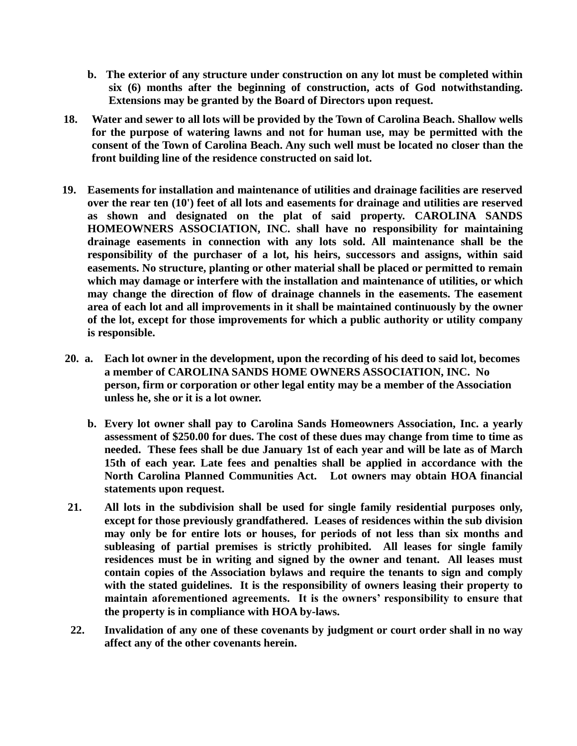- **b. The exterior of any structure under construction on any lot must be completed within six (6) months after the beginning of construction, acts of God notwithstanding. Extensions may be granted by the Board of Directors upon request.**
- **18. Water and sewer to all lots will be provided by the Town of Carolina Beach. Shallow wells for the purpose of watering lawns and not for human use, may be permitted with the consent of the Town of Carolina Beach. Any such well must be located no closer than the front building line of the residence constructed on said lot.**
- **19. Easements for installation and maintenance of utilities and drainage facilities are reserved over the rear ten (10') feet of all lots and easements for drainage and utilities are reserved as shown and designated on the plat of said property. CAROLINA SANDS HOMEOWNERS ASSOCIATION, INC. shall have no responsibility for maintaining drainage easements in connection with any lots sold. All maintenance shall be the responsibility of the purchaser of a lot, his heirs, successors and assigns, within said easements. No structure, planting or other material shall be placed or permitted to remain which may damage or interfere with the installation and maintenance of utilities, or which may change the direction of flow of drainage channels in the easements. The easement area of each lot and all improvements in it shall be maintained continuously by the owner of the lot, except for those improvements for which a public authority or utility company is responsible.**
- **20. a. Each lot owner in the development, upon the recording of his deed to said lot, becomes a member of CAROLINA SANDS HOME OWNERS ASSOCIATION, INC. No person, firm or corporation or other legal entity may be a member of the Association unless he, she or it is a lot owner.**
	- **b. Every lot owner shall pay to Carolina Sands Homeowners Association, Inc. a yearly assessment of \$250.00 for dues. The cost of these dues may change from time to time as needed. These fees shall be due January 1st of each year and will be late as of March 15th of each year. Late fees and penalties shall be applied in accordance with the North Carolina Planned Communities Act. Lot owners may obtain HOA financial statements upon request.**
- **21. All lots in the subdivision shall be used for single family residential purposes only, except for those previously grandfathered. Leases of residences within the sub division may only be for entire lots or houses, for periods of not less than six months and subleasing of partial premises is strictly prohibited. All leases for single family residences must be in writing and signed by the owner and tenant. All leases must contain copies of the Association bylaws and require the tenants to sign and comply with the stated guidelines. It is the responsibility of owners leasing their property to maintain aforementioned agreements. It is the owners' responsibility to ensure that the property is in compliance with HOA by-laws.**
- **22. Invalidation of any one of these covenants by judgment or court order shall in no way affect any of the other covenants herein.**